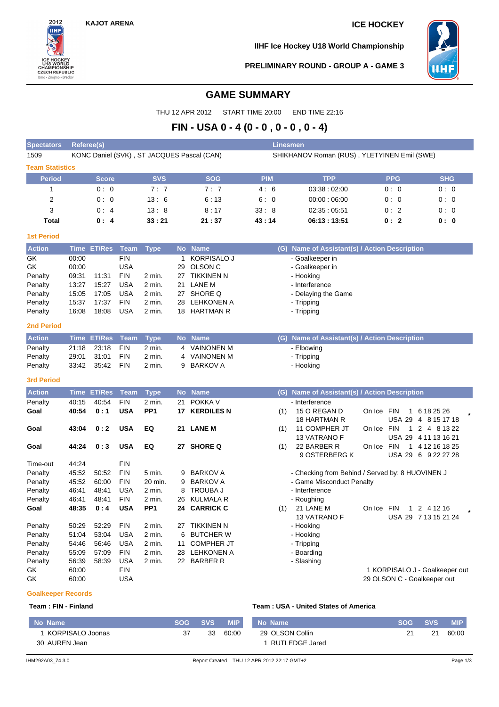

**IIHF Ice Hockey U18 World Championship**



**PRELIMINARY ROUND - GROUP A - GAME 3**

# **GAME SUMMARY**

THU 12 APR 2012 START TIME 20:00 END TIME 22:16

# **FIN - USA 0 - 4 (0 - 0 , 0 - 0 , 0 - 4)**

| <b>Spectators</b>      | Referee(s) |                    |             |                 |    |                                            |            | <b>Linesmen</b>                                  |            |              |                                   |
|------------------------|------------|--------------------|-------------|-----------------|----|--------------------------------------------|------------|--------------------------------------------------|------------|--------------|-----------------------------------|
| 1509                   |            |                    |             |                 |    | KONC Daniel (SVK), ST JACQUES Pascal (CAN) |            | SHIKHANOV Roman (RUS), YLETYINEN Emil (SWE)      |            |              |                                   |
| <b>Team Statistics</b> |            |                    |             |                 |    |                                            |            |                                                  |            |              |                                   |
| <b>Period</b>          |            | <b>Score</b>       |             | <b>SVS</b>      |    | <b>SOG</b>                                 | <b>PIM</b> | <b>TPP</b>                                       |            | <b>PPG</b>   | <b>SHG</b>                        |
| 1                      |            | 0:0                |             | 7:7             |    | 7:7                                        | 4:6        | 03:38:02:00                                      |            | 0:0          | 0:0                               |
| 2                      |            | 0:0                |             | 13:6            |    | 6:13                                       | 6:0        | 00:00:06:00                                      |            | 0:0          | 0:0                               |
| 3                      |            | 0:4                |             | 13:8            |    | 8:17                                       | 33:8       | 02:35:05:51                                      |            | 0:2          | 0:0                               |
| <b>Total</b>           |            | 0:4                |             | 33:21           |    | 21 : 37                                    | 43:14      | 06:13:13:51                                      |            | 0:2          | 0:0                               |
| <b>1st Period</b>      |            |                    |             |                 |    |                                            |            |                                                  |            |              |                                   |
| <b>Action</b>          |            | Time ET/Res        | <b>Team</b> | <b>Type</b>     |    | No Name                                    |            | (G) Name of Assistant(s) / Action Description    |            |              |                                   |
| GK                     | 00:00      |                    | <b>FIN</b>  |                 | 1. | <b>KORPISALO J</b>                         |            | - Goalkeeper in                                  |            |              |                                   |
| GK                     | 00:00      |                    | <b>USA</b>  |                 | 29 | OLSON <sub>C</sub>                         |            | - Goalkeeper in                                  |            |              |                                   |
| Penalty                | 09:31      | 11:31              | <b>FIN</b>  | 2 min.          |    | 27 TIKKINEN N                              |            | - Hooking                                        |            |              |                                   |
| Penalty                | 13:27      | 15:27              | <b>USA</b>  | 2 min.          | 21 | LANE M                                     |            | - Interference                                   |            |              |                                   |
| Penalty                | 15:05      | 17:05              | <b>USA</b>  | 2 min.          |    | 27 SHORE Q                                 |            | - Delaying the Game                              |            |              |                                   |
| Penalty                | 15:37      | 17:37              | <b>FIN</b>  | 2 min.          |    | 28 LEHKONEN A                              |            | - Tripping                                       |            |              |                                   |
| Penalty                | 16:08      | 18:08              | <b>USA</b>  | 2 min.          | 18 | <b>HARTMAN R</b>                           |            | - Tripping                                       |            |              |                                   |
| <b>2nd Period</b>      |            |                    |             |                 |    |                                            |            |                                                  |            |              |                                   |
| <b>Action</b>          |            | <b>Time ET/Res</b> | <b>Team</b> | <b>Type</b>     |    | No Name                                    |            | (G) Name of Assistant(s) / Action Description    |            |              |                                   |
| Penalty                | 21:18      | 23:18              | <b>FIN</b>  | 2 min.          |    | 4 VAINONEN M                               |            | - Elbowing                                       |            |              |                                   |
| Penalty                | 29:01      | 31:01              | <b>FIN</b>  | 2 min.          |    | 4 VAINONEN M                               |            | - Tripping                                       |            |              |                                   |
| Penalty                | 33:42      | 35:42              | <b>FIN</b>  | 2 min.          | 9  | <b>BARKOV A</b>                            |            | - Hooking                                        |            |              |                                   |
| <b>3rd Period</b>      |            |                    |             |                 |    |                                            |            |                                                  |            |              |                                   |
| <b>Action</b>          | Time       | <b>ET/Res</b>      | <b>Team</b> | <b>Type</b>     |    | No Name                                    |            | (G) Name of Assistant(s) / Action Description    |            |              |                                   |
| Penalty                | 40:15      | 40:54              | <b>FIN</b>  | 2 min.          | 21 | POKKA V                                    |            | - Interference                                   |            |              |                                   |
| Goal                   | 40:54      | 0:1                | <b>USA</b>  | PP <sub>1</sub> | 17 | <b>KERDILES N</b>                          | (1)        | 15 O REGAN D<br><b>18 HARTMAN R</b>              | On Ice FIN | $\mathbf{1}$ | 6 18 25 26<br>USA 29 4 8 15 17 18 |
| Goal                   | 43:04      | 0:2                | <b>USA</b>  | EQ              |    | 21 LANE M                                  | (1)        | 11 COMPHER JT                                    | On Ice FIN |              | 1 2 4 8 13 22                     |
|                        |            |                    |             |                 |    |                                            |            | <b>13 VATRANO F</b>                              |            |              | USA 29 4 11 13 16 21              |
| Goal                   | 44:24      | 0:3                | <b>USA</b>  | EQ              |    | 27 SHORE Q                                 | (1)        | 22 BARBER R                                      | On Ice FIN |              | 1 4 12 16 18 25                   |
|                        |            |                    |             |                 |    |                                            |            | 9 OSTERBERG K                                    |            |              | USA 29 6 9 22 27 28               |
| Time-out               | 44:24      |                    | <b>FIN</b>  |                 |    |                                            |            |                                                  |            |              |                                   |
| Penalty                | 45:52      | 50:52              | <b>FIN</b>  | $5$ min.        | 9  | <b>BARKOV A</b>                            |            | - Checking from Behind / Served by: 8 HUOVINEN J |            |              |                                   |
| Penalty                | 45:52      | 60:00              | <b>FIN</b>  | 20 min.         | 9  | <b>BARKOV A</b>                            |            | - Game Misconduct Penalty                        |            |              |                                   |
| Penalty                | 46:41      | 48:41              | <b>USA</b>  | 2 min.          | 8  | TROUBA J                                   |            | - Interference                                   |            |              |                                   |
| Penalty                | 46:41      | 48:41              | <b>FIN</b>  | 2 min.          | 26 | <b>KULMALA R</b>                           |            | - Roughing                                       |            |              |                                   |
| Goal                   | 48:35      | 0:4                | <b>USA</b>  | PP <sub>1</sub> |    | 24 CARRICK C                               | (1)        | 21 LANE M                                        | On Ice FIN |              | 1 2 4 12 16                       |
|                        |            |                    |             |                 |    |                                            |            | 13 VATRANO F                                     |            |              | USA 29 7 13 15 21 24              |
| Penalty                | 50:29      | 52:29              | <b>FIN</b>  | 2 min.          |    | 27 TIKKINEN N                              |            | - Hooking                                        |            |              |                                   |
| Penalty                | 51:04      | 53:04              | <b>USA</b>  | 2 min.          | 6  | <b>BUTCHER W</b>                           |            | - Hooking                                        |            |              |                                   |
| Penalty                | 54:46      | 56:46              | <b>USA</b>  | 2 min.          | 11 | <b>COMPHER JT</b>                          |            | - Tripping                                       |            |              |                                   |
| Penalty                | 55:09      | 57:09              | <b>FIN</b>  | 2 min.          | 28 | <b>LEHKONEN A</b>                          |            | - Boarding                                       |            |              |                                   |
| Penalty                | 56:39      | 58:39              | <b>USA</b>  | 2 min.          | 22 | <b>BARBER R</b>                            |            | - Slashing                                       |            |              |                                   |
| GK                     | 60:00      |                    | <b>FIN</b>  |                 |    |                                            |            |                                                  |            |              | 1 KORPISALO J - Goalkeeper out    |
| GK                     | 60:00      |                    | <b>USA</b>  |                 |    |                                            |            |                                                  |            |              | 29 OLSON C - Goalkeeper out       |

## **Goalkeeper Records**

### **Team : FIN - Finland Team : USA - United States of America**

| Mo Name \                         | <b>SOG</b> | <b>SVS</b> | <b>MIP</b> | No Name                           | <b>SOG</b> | <b>SVS</b> | <b>MIP</b> |
|-----------------------------------|------------|------------|------------|-----------------------------------|------------|------------|------------|
| KORPISALO Joonas<br>30 AUREN Jean | 37         | 33         | 60:00      | 29 OLSON Collin<br>RUTLEDGE Jared |            |            | 60:00      |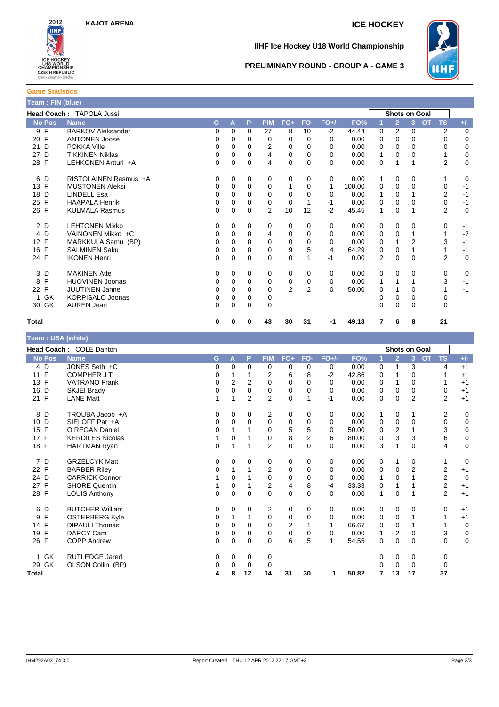

# **IIHF Ice Hockey U18 World Championship**



### **PRELIMINARY ROUND - GROUP A - GAME 3**

| <b>Game Statistics</b>                   |  |
|------------------------------------------|--|
| Team : FIN (blue)                        |  |
| <b>Head Coach: <code>TAPOLA J</code></b> |  |

|                   | <b>Head Coach: TAPOLA Jussi</b> |    |          |          |            |                |                |          |        |          |                | <b>Shots on Goal</b> |                        |             |
|-------------------|---------------------------------|----|----------|----------|------------|----------------|----------------|----------|--------|----------|----------------|----------------------|------------------------|-------------|
| <b>No Pos</b>     | <b>Name</b>                     | G. | A        | P        | <b>PIM</b> | $FO+$          | FO-            | $FO+/-$  | FO%    | 1        | $\overline{2}$ | 3                    | <b>TS</b><br><b>OT</b> | $+/-$       |
| 9 F               | <b>BARKOV Aleksander</b>        | 0  | $\Omega$ | 0        | 27         | 8              | 10             | $-2$     | 44.44  | 0        | $\overline{2}$ | 0                    | 2                      | $\mathbf 0$ |
| F<br>20           | <b>ANTONEN Joose</b>            | 0  | 0        | 0        | 0          | 0              | 0              | $\Omega$ | 0.00   | 0        | 0              | 0                    | 0                      | 0           |
| 21 D              | POKKA Ville                     | 0  | $\Omega$ | 0        | 2          | 0              | 0              | $\Omega$ | 0.00   | 0        | 0              | 0                    | 0                      | $\mathbf 0$ |
| 27 D              | <b>TIKKINEN Niklas</b>          | 0  | 0        | 0        | 4          | 0              | $\Omega$       | $\Omega$ | 0.00   | 1        | 0              | $\Omega$             |                        | $\mathbf 0$ |
| 28 F              | LEHKONEN Artturi +A             | 0  | 0        | 0        | 4          | 0              | $\Omega$       | $\Omega$ | 0.00   | 0        | 1              |                      | $\overline{2}$         | $\mathbf 0$ |
| 6 D               | RISTOLAINEN Rasmus +A           | 0  | $\Omega$ | 0        | 0          | 0              | $\Omega$       | 0        | 0.00   | 1        | 0              | 0                    |                        | 0           |
| 13 F              | <b>MUSTONEN Aleksi</b>          | 0  | 0        | 0        | 0          | 1              | 0              | 1        | 100.00 | 0        | $\Omega$       | 0                    | 0                      | $-1$        |
| 18 D              | <b>LINDELL Esa</b>              | 0  | 0        | 0        | $\Omega$   | 0              | $\Omega$       | $\Omega$ | 0.00   |          | 0              |                      | 2                      | $-1$        |
| 25 F              | <b>HAAPALA Henrik</b>           | 0  | $\Omega$ | 0        | 0          | 0              |                | $-1$     | 0.00   | 0        | $\Omega$       | $\Omega$             | 0                      | $-1$        |
| 26 F              | <b>KULMALA Rasmus</b>           | 0  | $\Omega$ | $\Omega$ | 2          | 10             | 12             | $-2$     | 45.45  | 1        | $\Omega$       |                      | 2                      | $\Omega$    |
| 2 D               | <b>LEHTONEN Mikko</b>           | 0  | $\Omega$ | 0        | 0          | 0              | $\Omega$       | $\Omega$ | 0.00   | 0        | 0              | 0                    | 0                      | $-1$        |
| 4 D               | VAINONEN Mikko +C               | 0  | $\Omega$ | 0        | 4          | $\Omega$       | $\Omega$       | $\Omega$ | 0.00   | $\Omega$ | $\Omega$       |                      |                        | $-2$        |
| 12 F              | MARKKULA Samu (BP)              | 0  | 0        | 0        | 0          | 0              | 0              | $\Omega$ | 0.00   | 0        |                | $\overline{2}$       | 3                      | $-1$        |
| 16 F              | <b>SALMINEN Saku</b>            | 0  | 0        | 0        | 0          | 9              | 5              | 4        | 64.29  | 0        | $\Omega$       |                      |                        | $-1$        |
| 24 F              | <b>IKONEN Henri</b>             | 0  | 0        | $\Omega$ | 0          | 0              |                | $-1$     | 0.00   | 2        | $\Omega$       | $\Omega$             | 2                      | $\mathbf 0$ |
| 3 D               | <b>MAKINEN Atte</b>             | 0  | 0        | 0        | 0          | 0              | 0              | 0        | 0.00   | 0        | $\Omega$       | 0                    | 0                      | 0           |
| $\mathsf{F}$<br>8 | <b>HUOVINEN Joonas</b>          | 0  | $\Omega$ | $\Omega$ | 0          | 0              | 0              | $\Omega$ | 0.00   | 1        |                |                      | 3                      | $-1$        |
| 22 F              | <b>JUUTINEN Janne</b>           | 0  | $\Omega$ | 0        | 0          | $\overline{2}$ | $\overline{2}$ | $\Omega$ | 50.00  | 0        |                | 0                    |                        | $-1$        |
| 1 GK              | <b>KORPISALO Joonas</b>         | 0  | 0        | 0        | 0          |                |                |          |        | 0        | 0              | 0                    | 0                      |             |
| 30 GK             | <b>AUREN Jean</b>               | 0  | 0        | 0        | 0          |                |                |          |        | 0        | $\Omega$       | 0                    | 0                      |             |
| Total             |                                 | 0  | 0        | 0        | 43         | 30             | 31             | -1       | 49.18  | 7        | 6              | 8                    | 21                     |             |

| Team : USA (white) |                         |             |                |                |                |             |                |          |       |              |                |                      |           |                |             |
|--------------------|-------------------------|-------------|----------------|----------------|----------------|-------------|----------------|----------|-------|--------------|----------------|----------------------|-----------|----------------|-------------|
|                    | Head Coach: COLE Danton |             |                |                |                |             |                |          |       |              |                | <b>Shots on Goal</b> |           |                |             |
| <b>No Pos</b>      | <b>Name</b>             | G           | A              | P              | <b>PIM</b>     | $FO+$       | FO-            | $FO+/-$  | FO%   |              | $\overline{2}$ | 3 <sup>2</sup>       | <b>OT</b> | <b>TS</b>      | $+/-$       |
| 4 D                | JONES Seth +C           | $\mathbf 0$ | 0              | 0              | 0              | 0           | 0              | 0        | 0.00  | 0            |                | 3                    |           | 4              | $+1$        |
| 11 F               | <b>COMPHER JT</b>       | 0           |                |                | 2              | 6           | 8              | $-2$     | 42.86 | 0            |                | 0                    |           |                | $+1$        |
| 13 F               | <b>VATRANO Frank</b>    | 0           | $\overline{2}$ | 2              | $\mathbf 0$    | 0           | 0              | 0        | 0.00  | 0            |                | 0                    |           |                | $+1$        |
| D<br>16            | SKJEI Brady             | $\mathbf 0$ | $\Omega$       | $\mathbf 0$    | $\mathbf 0$    | 0           | $\Omega$       | $\Omega$ | 0.00  | 0            | 0              | 0                    |           | 0              | $+1$        |
| 21 F               | <b>LANE Matt</b>        | 1           | 1              | $\overline{2}$ | $\overline{2}$ | $\mathbf 0$ | 1              | $-1$     | 0.00  | 0            | 0              | $\overline{2}$       |           | $\overline{2}$ | $+1$        |
| 8 D                | TROUBA Jacob +A         | 0           | 0              | 0              | 2              | 0           | 0              | 0        | 0.00  | 1            | 0              | 1                    |           | 2              | 0           |
| 10 D               | SIELOFF Pat +A          | $\mathbf 0$ | 0              | $\mathbf 0$    | $\Omega$       | $\mathbf 0$ | 0              | 0        | 0.00  | 0            | 0              | 0                    |           | 0              | $\mathbf 0$ |
| $\mathsf{F}$<br>15 | O REGAN Daniel          | 0           | 1              |                | 0              | 5           | 5              | $\Omega$ | 50.00 | 0            | 2              | 1                    |           | 3              | 0           |
| 17 F               | <b>KERDILES Nicolas</b> | 1           | $\mathbf 0$    | 1              | 0              | 8           | $\overline{2}$ | 6        | 80.00 | 0            | 3              | 3                    |           | 6              | $\pmb{0}$   |
| 18 F               | <b>HARTMAN Ryan</b>     | $\mathbf 0$ | 1              | 1              | $\overline{2}$ | 0           | $\Omega$       | $\Omega$ | 0.00  | 3            |                | $\Omega$             |           | 4              | $\mathbf 0$ |
| 7 D                | <b>GRZELCYK Matt</b>    | 0           | 0              | 0              | 0              | 0           | 0              | 0        | 0.00  | 0            | 1              | 0                    |           | 1              | $\mathbf 0$ |
| 22 F               | <b>BARBER Rilev</b>     | 0           | 1              | 1              | 2              | $\mathbf 0$ | $\mathbf 0$    | $\Omega$ | 0.00  | 0            | 0              | $\overline{2}$       |           | $\mathbf 2$    | $+1$        |
| 24 D               | <b>CARRICK Connor</b>   |             | $\Omega$       |                | $\mathbf{0}$   | 0           | $\Omega$       | $\Omega$ | 0.00  | 1            | 0              | 1                    |           | $\overline{2}$ | $\mathbf 0$ |
| 27 F               | <b>SHORE Quentin</b>    |             | 0              | 1              | $\overline{2}$ | 4           | 8              | -4       | 33.33 | 0            | 1              | 1                    |           | $\overline{2}$ | $+1$        |
| 28 F               | <b>LOUIS Anthony</b>    | $\mathbf 0$ | $\mathbf 0$    | $\Omega$       | $\Omega$       | $\mathbf 0$ | $\Omega$       | $\Omega$ | 0.00  | $\mathbf{1}$ | $\Omega$       | 1                    |           | $\overline{2}$ | $+1$        |
| 6<br>D             | <b>BUTCHER William</b>  | 0           | 0              | 0              | $\overline{2}$ | 0           | 0              | 0        | 0.00  | 0            | 0              | 0                    |           | 0              | $+1$        |
| F<br>9             | <b>OSTERBERG Kyle</b>   | 0           | 1              | 1              | $\mathbf 0$    | 0           | 0              | 0        | 0.00  | 0            | 0              | 1                    |           | 1              | $+1$        |
| 14 F               | <b>DIPAULI Thomas</b>   | $\mathbf 0$ | 0              | 0              | 0              | 2           |                | 1        | 66.67 | 0            | 0              | 1                    |           | 1              | $\mathbf 0$ |
| F<br>19            | <b>DARCY Cam</b>        | 0           | $\mathbf 0$    | $\Omega$       | $\mathbf 0$    | 0           | $\Omega$       | $\Omega$ | 0.00  | 1            | 2              | 0                    |           | 3              | $\pmb{0}$   |
| 26 F               | <b>COPP Andrew</b>      | $\mathbf 0$ | 0              | $\mathbf 0$    | 0              | 6           | 5              | 1        | 54.55 | 0            | 0              | 0                    |           | 0              | 0           |
| GK<br>$\mathbf 1$  | <b>RUTLEDGE Jared</b>   | 0           | 0              | 0              | 0              |             |                |          |       | 0            | 0              | 0                    |           | 0              |             |
| 29 GK              | OLSON Collin (BP)       | 0           | 0              | 0              | 0              |             |                |          |       | 0            | 0              | 0                    |           | 0              |             |
| <b>Total</b>       |                         | 4           | 8              | 12             | 14             | 31          | 30             | 1        | 50.82 | 7            | 13             | 17                   |           | 37             |             |